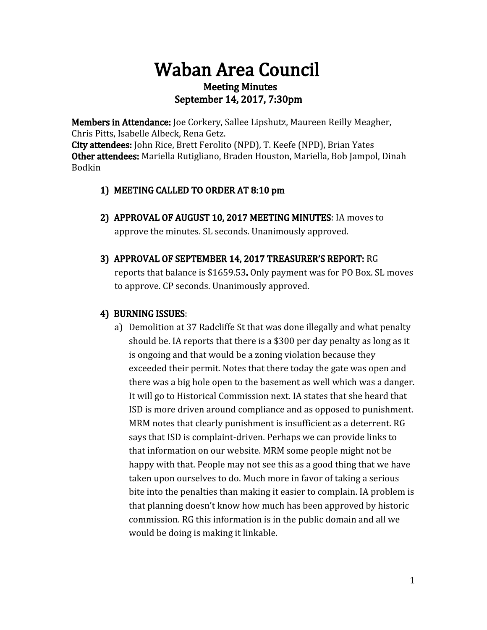# Waban Area Council Meeting Minutes September 14, 2017, 7:30pm

Members in Attendance: Joe Corkery, Sallee Lipshutz, Maureen Reilly Meagher, Chris Pitts, Isabelle Albeck, Rena Getz.

City attendees: John Rice, Brett Ferolito (NPD), T. Keefe (NPD), Brian Yates Other attendees: Mariella Rutigliano, Braden Houston, Mariella, Bob Jampol, Dinah Bodkin

## 1) MEETING CALLED TO ORDER AT 8:10 pm

- 2) APPROVAL OF AUGUST 10, 2017 MEETING MINUTES: IA moves to approve the minutes. SL seconds. Unanimously approved.
- 3) APPROVAL OF SEPTEMBER 14, 2017 TREASURER'S REPORT: RG

reports that balance is \$1659.53. Only payment was for PO Box. SL moves to approve. CP seconds. Unanimously approved.

# 4) BURNING ISSUES:

a) Demolition at 37 Radcliffe St that was done illegally and what penalty should be. IA reports that there is a \$300 per day penalty as long as it is ongoing and that would be a zoning violation because they exceeded their permit. Notes that there today the gate was open and there was a big hole open to the basement as well which was a danger. It will go to Historical Commission next. IA states that she heard that ISD is more driven around compliance and as opposed to punishment. MRM notes that clearly punishment is insufficient as a deterrent. RG says that ISD is complaint-driven. Perhaps we can provide links to that information on our website. MRM some people might not be happy with that. People may not see this as a good thing that we have taken upon ourselves to do. Much more in favor of taking a serious bite into the penalties than making it easier to complain. IA problem is that planning doesn't know how much has been approved by historic commission. RG this information is in the public domain and all we would be doing is making it linkable.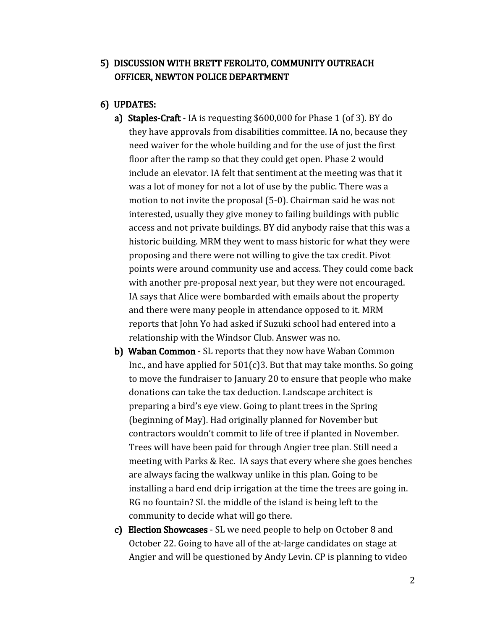#### 5) DISCUSSION WITH BRETT FEROLITO, COMMUNITY OUTREACH OFFICER, NEWTON POLICE DEPARTMENT

- 6) UPDATES:
	- a) Staples-Craft IA is requesting \$600,000 for Phase 1 (of 3). BY do they have approvals from disabilities committee. IA no, because they need waiver for the whole building and for the use of just the first floor after the ramp so that they could get open. Phase 2 would include an elevator. IA felt that sentiment at the meeting was that it was a lot of money for not a lot of use by the public. There was a motion to not invite the proposal (5-0). Chairman said he was not interested, usually they give money to failing buildings with public access and not private buildings. BY did anybody raise that this was a historic building. MRM they went to mass historic for what they were proposing and there were not willing to give the tax credit. Pivot points were around community use and access. They could come back with another pre-proposal next year, but they were not encouraged. IA says that Alice were bombarded with emails about the property and there were many people in attendance opposed to it. MRM reports that John Yo had asked if Suzuki school had entered into a relationship with the Windsor Club. Answer was no.
	- b) Waban Common SL reports that they now have Waban Common Inc., and have applied for  $501(c)3$ . But that may take months. So going to move the fundraiser to January 20 to ensure that people who make donations can take the tax deduction. Landscape architect is preparing a bird's eye view. Going to plant trees in the Spring (beginning of May). Had originally planned for November but contractors wouldn't commit to life of tree if planted in November. Trees will have been paid for through Angier tree plan. Still need a meeting with Parks & Rec. IA says that every where she goes benches are always facing the walkway unlike in this plan. Going to be installing a hard end drip irrigation at the time the trees are going in. RG no fountain? SL the middle of the island is being left to the community to decide what will go there.
	- c) Election Showcases SL we need people to help on October 8 and October 22. Going to have all of the at-large candidates on stage at Angier and will be questioned by Andy Levin. CP is planning to video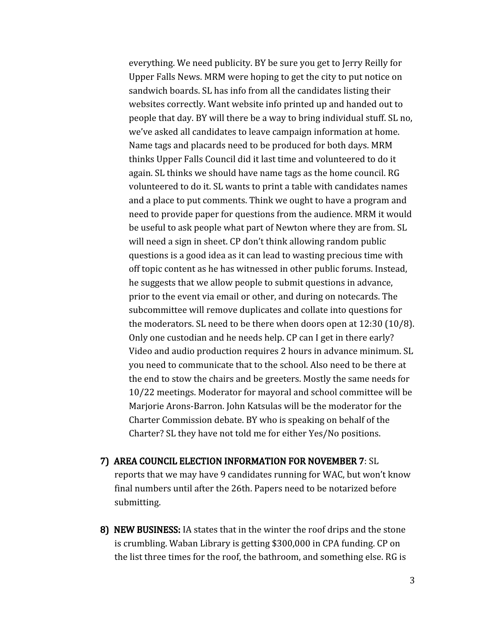everything. We need publicity. BY be sure you get to Jerry Reilly for Upper Falls News. MRM were hoping to get the city to put notice on sandwich boards. SL has info from all the candidates listing their websites correctly. Want website info printed up and handed out to people that day. BY will there be a way to bring individual stuff. SL no, we've asked all candidates to leave campaign information at home. Name tags and placards need to be produced for both days. MRM thinks Upper Falls Council did it last time and volunteered to do it again. SL thinks we should have name tags as the home council. RG volunteered to do it. SL wants to print a table with candidates names and a place to put comments. Think we ought to have a program and need to provide paper for questions from the audience. MRM it would be useful to ask people what part of Newton where they are from. SL will need a sign in sheet. CP don't think allowing random public questions is a good idea as it can lead to wasting precious time with off topic content as he has witnessed in other public forums. Instead, he suggests that we allow people to submit questions in advance, prior to the event via email or other, and during on notecards. The subcommittee will remove duplicates and collate into questions for the moderators. SL need to be there when doors open at 12:30 (10/8). Only one custodian and he needs help. CP can I get in there early? Video and audio production requires 2 hours in advance minimum. SL you need to communicate that to the school. Also need to be there at the end to stow the chairs and be greeters. Mostly the same needs for 10/22 meetings. Moderator for mayoral and school committee will be Marjorie Arons-Barron. John Katsulas will be the moderator for the Charter Commission debate. BY who is speaking on behalf of the Charter? SL they have not told me for either Yes/No positions.

- 7) AREA COUNCIL ELECTION INFORMATION FOR NOVEMBER 7: SL reports that we may have 9 candidates running for WAC, but won't know final numbers until after the 26th. Papers need to be notarized before submitting.
- 8) NEW BUSINESS: IA states that in the winter the roof drips and the stone is crumbling. Waban Library is getting \$300,000 in CPA funding. CP on the list three times for the roof, the bathroom, and something else. RG is